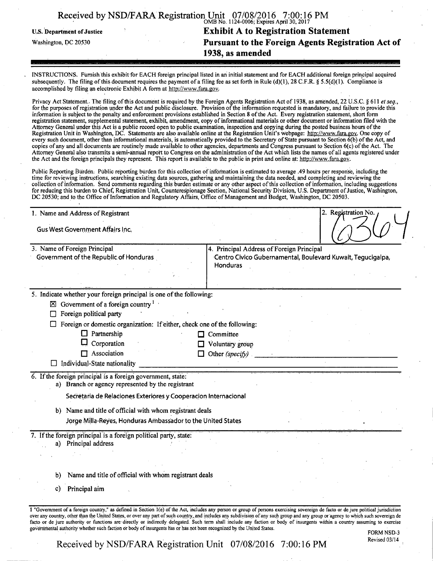|                                   | Received by NSD/FARA Registration Unit 07/08/2016 7:00:16 PM |
|-----------------------------------|--------------------------------------------------------------|
| <b>U.S. Department of Justice</b> | <b>Exhibit A to Registration Statement</b>                   |
| Washington, DC 20530              | Pursuant to the Foreign Agents Registration Act of           |
|                                   | 1938, as amended                                             |

INSTRUCTIONS. Furnish this exhibit for EACH foreign principal listed in an initial statement and for EACH additional foreign principal acquired subsequently. The filing of this document requires the payment of a filing fee as set forth in Rule (d)(1), 28 C.F.R. § 5.5(d)(1). Compliance is accomplished by filing an electronic Exhibit A form at http://www.fara.gov.

Privacy Act Statement.. The filing of this document is required by the Foreign Agents Registration Act of 1938, as amended, 22 U.S.C. § 611 et seq., for the purposes of registration under the Act and public disclosure. Provision of the information requested is mandatory, and failure to provide this information is subject to the penalty and enforcement provisions established in Section 8 ofthe Act. Every registration statement, short form registration statement, supplemental statement, exhibii amendment, copy of informational materials or other document or information filed with the Attorney General under this Act is a public record open to public examination, inspection and copying during the posted business hours of the Registration Unit in Washington, DC. Statements are also available online at the Registration Unit's webpage: http://www.fara.gov. One copy of every such document, other than informational materials, is automatically provided to the Secretary of State pursuant to Section 6(b) of the Act, and copies of any and all documents are routinely made available to other agencies, departments and Congress pursuant to Section 6(c) of the Act. The Attorney General also transmits a semi-annual report to Congress on the administration of the Act which lists the names of all agents registered under the Act and the foreign principals they represent. This report is available to the public in print and online at: http://www.fara.gov.

Public Reporting Burden. Public reporting burden for this collection of information is estimated to average .49 hours per response, including the time for reviewing instructions, searching existing data sources, gathering and maintaining the data needed, and completing and reviewing the collection of information. Send comments regarding this burden estimate or any other aspect of this collection of information, including suggestions for reducing this burden to Chief, Registration Unit, Counterespionage Section, National Security Division, U.S. Department of Justice, Washington, DC 20530; and to the Office of Information and Regulatory Affairs, Office of Management and Budget, Washington, DC 20503.

| 1. Name and Address of Registrant                                                                                | 2. Registration No.                                                                                                                                                                 |  |  |  |  |
|------------------------------------------------------------------------------------------------------------------|-------------------------------------------------------------------------------------------------------------------------------------------------------------------------------------|--|--|--|--|
| <b>Gus West Government Affairs Inc.</b>                                                                          |                                                                                                                                                                                     |  |  |  |  |
| 3. Name of Foreign Principal                                                                                     | 4. Principal Address of Foreign Principal                                                                                                                                           |  |  |  |  |
| Government of the Republic of Honduras                                                                           | Centro Civico Gubernamental, Boulevard Kuwait, Tegucigalpa,                                                                                                                         |  |  |  |  |
|                                                                                                                  | Honduras                                                                                                                                                                            |  |  |  |  |
|                                                                                                                  |                                                                                                                                                                                     |  |  |  |  |
| 5. Indicate whether your foreign principal is one of the following:                                              |                                                                                                                                                                                     |  |  |  |  |
| $\boxtimes$ Government of a foreign country <sup>1</sup>                                                         |                                                                                                                                                                                     |  |  |  |  |
| Foreign political party                                                                                          |                                                                                                                                                                                     |  |  |  |  |
| Foreign or domestic organization: If either, check one of the following:                                         |                                                                                                                                                                                     |  |  |  |  |
| $\Box$ Partnership                                                                                               | Committee                                                                                                                                                                           |  |  |  |  |
| Corporation                                                                                                      | Voluntary group                                                                                                                                                                     |  |  |  |  |
| $\Box$ Association<br>П.                                                                                         | Other (specify)                                                                                                                                                                     |  |  |  |  |
| Individual-State nationality                                                                                     |                                                                                                                                                                                     |  |  |  |  |
| 6. If the foreign principal is a foreign government, state:<br>a) Branch or agency represented by the registrant |                                                                                                                                                                                     |  |  |  |  |
| Secretaria de Relaciones Exteriores y Cooperacion Internacional                                                  |                                                                                                                                                                                     |  |  |  |  |
| b) Name and title of official with whom registrant deals                                                         |                                                                                                                                                                                     |  |  |  |  |
| Jorge Milla-Reyes, Honduras Ambassador to the United States                                                      |                                                                                                                                                                                     |  |  |  |  |
| 7. If the foreign principal is a foreign political party, state:<br>a) Principal address                         |                                                                                                                                                                                     |  |  |  |  |
|                                                                                                                  |                                                                                                                                                                                     |  |  |  |  |
|                                                                                                                  |                                                                                                                                                                                     |  |  |  |  |
| Name and title of official with whom registrant deals<br>b)                                                      |                                                                                                                                                                                     |  |  |  |  |
| Principal aim<br>C)                                                                                              |                                                                                                                                                                                     |  |  |  |  |
|                                                                                                                  |                                                                                                                                                                                     |  |  |  |  |
|                                                                                                                  | 1 "Government of a foreign country," as defined in Section 1(e) of the Act, includes any person or group of persons exercising sovereign de facto or de jure political jurisdiction |  |  |  |  |

oyer any country, other than the United States, or over any part of such country.and includes any subdivision of any such group and any group or agency to which such sovereign de facto or de jure authority or functions are directly or indirectly delegated. Such term shall include any faction or body of insurgents within a country assuming to exercise governmental authority whether such faction or body of insurgents has or has not been recognized by the United States. FORM NSD-3

Revised 03/14

Received by NSD/FARA Registration Unit 07/08/2016 7:00:16 PM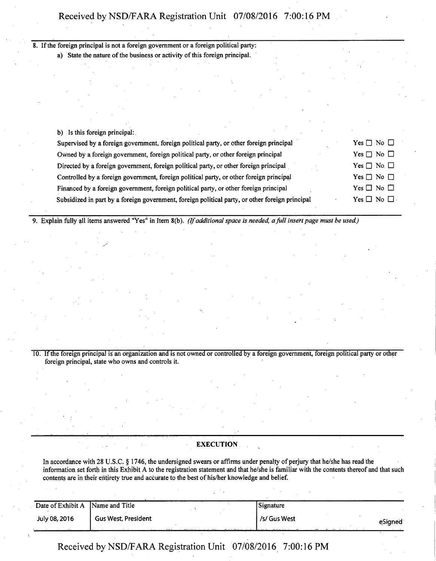| 8. If the foreign principal is not a foreign government or a foreign political party:           |                       |  |  |  |
|-------------------------------------------------------------------------------------------------|-----------------------|--|--|--|
| a) State the nature of the business or activity of this foreign principal.                      |                       |  |  |  |
|                                                                                                 |                       |  |  |  |
|                                                                                                 |                       |  |  |  |
|                                                                                                 |                       |  |  |  |
|                                                                                                 |                       |  |  |  |
|                                                                                                 |                       |  |  |  |
| b) Is this foreign principal:                                                                   |                       |  |  |  |
| Supervised by a foreign government, foreign political party, or other foreign principal         | Yes $\Box$ No $\Box$  |  |  |  |
| Owned by a foreign government, foreign political party, or other foreign principal              | Yes $\Box$ No $\Box$  |  |  |  |
| Directed by a foreign government, foreign political party, or other foreign principal           | Yes $\Box$ No. $\Box$ |  |  |  |
| Controlled by a foreign government, foreign political party, or other foreign principal         |                       |  |  |  |
| Financed by a foreign government, foreign political party, or other foreign principal           |                       |  |  |  |
| Subsidized in part by a foreign government, foreign political party, or other foreign principal | $Yes \Box No \Box$    |  |  |  |

*9. Explain fully ail items answered "Yes" in Item 8(b). (If additional space is needed, a full insert page must be used.)* 

10. If the foreign principal is an organization and is not owned or controlled by a foreign government, foreign political party or other foreign principal, state who owns and controls it.

### EXECUTION

In accordance with 28 U.S.C. § 1746, the undersigned swears or affirms under penalty of perjury that he/she has read the information set forth in this Exhibit A to the registration statement and that he/she is familiar with the contents thereof and that such contents are in their entirety true and accurate to the best of his/her knowledge and belief.

| Date of Exhibit A | Name and Title             |  | Signature    |         |
|-------------------|----------------------------|--|--------------|---------|
| July 08, 2016     | <b>Gus West, President</b> |  | /s/ Gus West | eSianed |
| $\cdots$          |                            |  |              |         |

Received by NSD/FARA Registration Unit 07/08/2016 7:00:16 PM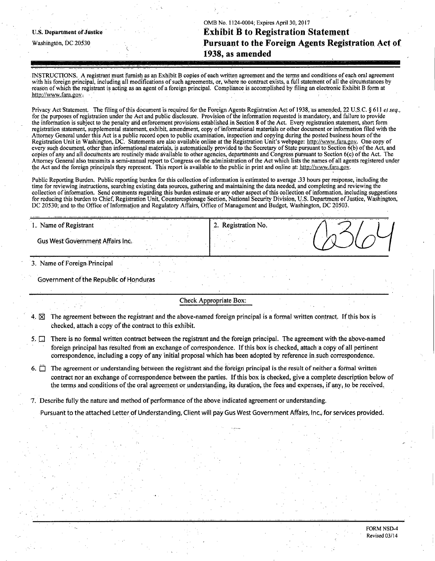OMB No. 1124-0004; Expires April 30,2017 **u.s. Department of justice Exhibit B to Registration Statement Washington, DC 20530 Pursuant to the Foreign Agents Registration Act of 1938, as amended** 

INSTRUCTIONS, A registrant must furnish as an Exhibit B copies of each written agreement and the terms and conditions of each oral agreement with his foreign principal, including all modifications of such agreements, or, where no contract exists, a full statement of all the circumstances by reason of which the registrant is acting as an agent of a foreign principal. Compliance is accomplished by filing an electronic Exhibit B form at http://www.fara.gov.

Privacy Act Statement. The filing of this document is required for the Foreign Agents Registration Act of 1938, as amended, 22 U.S.C. § 611 et seq., for the purposes of registration under the Act and public disclosure. Provision of the information requested is mandatory, and failure to provide the information is subject to the penalty and enforcement provisions established in Section 8 ofthe Act. Every registration statement, short form registration statement, supplemental statement, exhibit, amendment, copy of informational materials or other document or information filed with the Attorney General under this Act is a public record open to public examination, inspection and copying during the posted business hours of the Registration Unit in Washington, DC. Statements are also available online at the Registration Unit's webpage: http://www.fara.gov. One copy of every such document, other than informational materials, is automatically provided to the Secretary of State pursuant to Section  $6(b)$  of the Act, and copies of any and all documents are routinely made available to other agencies, departments and Congress pursuant to Section 6(c) of the Act. The Attorney General also transmits a semi-annual report to Congress on the administration of the Act which lists the names of all agents registered under the Act and the foreign principals they represent. This report is available to the public in print and online at: http://www.fara.gov.

Public Reporting Burden. Public reporting burden for this collection of information is estimated to average .33 hours per response, including the time for reviewing instructions, searching existing data sources, gathering and maintaining the data needed, and completing and reviewing the collection of information. Send comments regarding this burden estimate or any other aspect of this collection of information, including suggestions for reducing this burden to Chief, Registration Unit, Counterespionage Section, National Security Division, U.S . Department of Justice, Washington, DC 20530; and to the Office of Information and Regulatory Affairs, Office of Management and Budget, Washington, DC 20503.

2. Registration No.

1. Name of Registrant

Gus West Government Affairs Inc.

3. Name of Foreign Principal

Government of the Republic of Honduras

Check Appropriate Box:

- 4.  $\boxtimes$  The agreement between the registrant and the above-named foreign principal is a formal written contract. If this box is checked, attach a copy of the contract to this exhibit.
- 5.  $\Box$  There is no formal written contract between the registrant and the foreign principal. The agreement with the above-named foreign principal has resulted from an exchange of correspondence. If this box is checked, attach a copy of all pertinent correspondence, including a copy of any initial proposal which has been adopted by reference in.such correspondence.
- 6.  $\Box$  The agreement or understanding between the registrant and the foreign principal is the result of neither a formal written contract nor an exchange of correspondence between the parties. If this box is checked, give a complete description below of the terms and conditions of the oral agreement or understanding, its duration, the fees and expenses, if any, to be received.

7. Describe fully the nature and method of performance of the above indicated agreement or understanding.

Pursuant to the attached Letter of Understanding, Client will pay Gus West Government Affairs, Inc., for services provided.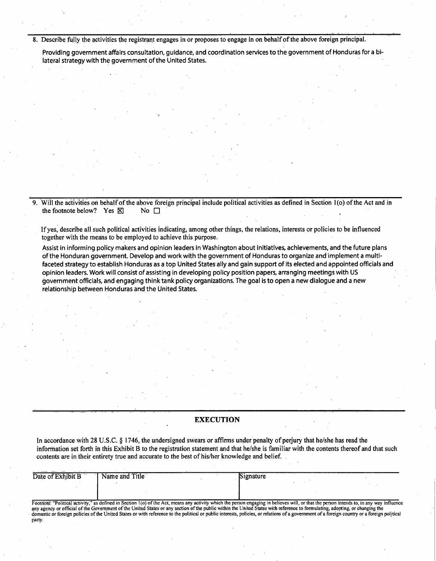**8. Describe fully the activities the registrant engages in or proposes to engage in on behalf of the above foreign principal.** 

Providing government affairs consultation, guidance, and coordination services to the government of Honduras for a bilateral strategy with the government of the United States.

Will the activities on behalf of the above foreign principal include political activities as defined in Section 1(o) of the Act and in the footnote below? Yes  $\boxtimes$  No  $\Box$ the footnote below? Yes  $\boxtimes$ 

**If yes, describe all such political activities indicating, among other things, the relations, interests or policies to be influenced together With the means to be employed to achieve this purpose.** 

Assist in informing policy makers and opinion leaders in Washington about initiatives, achievements, and the future plans ofthe Honduran government. Develop and work with the government of Honduras to organize and implement a multifaceted strategy to establish Honduras as a top United States ally and gain support of its elected and appointed officials and opinion leaders. Work will consist of assisting in developing policy position papers, arranging meetings with US government officials, and engaging think tank policy organizations. The goal is to open a new dialogue and a new relationship between Honduras and the United States.

### **EXECUTION**

**In accordance with 28 U.S.C. § 1746, the undersigned swears or affirms under penalty of perjury that he/she has read the information set forth in this Exhibit B to the registration statement and that he/she is familiar with the contents thereof and that such contents are in their entirety true and accurate to the best of his/her knowledge and belief.** 

| Date of Exhibit B | Name and Title | Signature                                                                                                                                                                                    |  |
|-------------------|----------------|----------------------------------------------------------------------------------------------------------------------------------------------------------------------------------------------|--|
|                   |                |                                                                                                                                                                                              |  |
|                   |                |                                                                                                                                                                                              |  |
|                   |                | Footnote: "Political activity," as defined in Section 1(0) of the Act, means any activity which the person engaging in believes will, or that the person intends to, in any way influence    |  |
|                   |                | any agency or official of the Government of the United States or any section of the public within the United States with reference to formulating, adopting, or changing the                 |  |
| party.            |                | domestic or foreign policies of the United States or with reference to the political or public interests, policies, or relations of a government of a foreign country or a foreign political |  |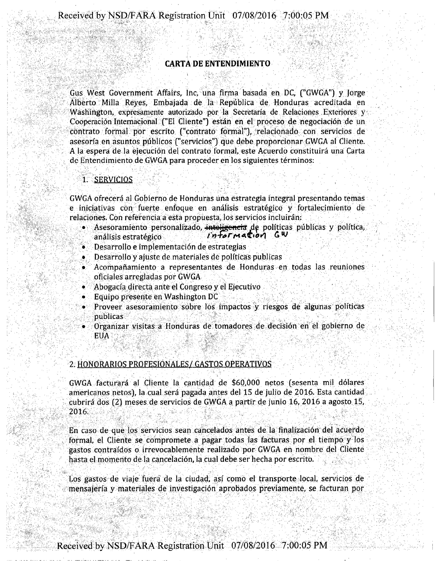## **CARTA DE ENTENDIMIENTO**

Gus West Government Affairs, Inc, una firma basada en DC, ("GWGA") y Jorge Alberto Milla Reyes, Embajada de la Republica de Honduras acreditada en Washington, expresamente autorizado por la Secretaria de Relaciones Exteriores y Cooperación Internacional ("El Cliente") están en el proceso de negociación de un contrato formal por escrito ("contrato formal"), relacionado con servicios de asesorfa en asuntos publicos ("servicios") que debe proporcionar GWGA al Cliente. A la espera de la ejecucion del contrato formal, este Acuerdo constituira una Carta de Entendimiento de GWGA para proceder en los siguientes términos:

1. SERVICIOS

GWGA ofrecera al Gobierno de Honduras una estrategia integral presentando temas e iniciativas con fuerte enfoque en analisis estrategico y fortalecimiento de relaciones. Con referencia a esta propuesta, los servicios incluiran:

- **.** Asesoramiento personalizado, intoligencia de políticas publicas y política, <br>análisis estratégico **information** GW analisis estrategico
- Desarrollo e implementación de estrategias
- Desarrollo y ajuste de materiales de polfticas publicas
- Acompanamiento a representantes de Honduras en todas las reuniones oficiales arregladas por GWGA
- Abogacfa directa ante el Congreso y el Ejecutivo
- Equipo presente en Washington DC
- Proveer asesoramiento sobre los impactos y riesgos de algunas polfticas publicas
- Grganizar visitas a Honduras de tomadores de decision en el gobierno de EUA

# 2. HONORARIOS PROFESIONALES/ GASTOS OPERATIVOS

GWGA facturara al Cliente la cantidad de \$60,000 netos (sesenta mil dolares americanos netos), la cual sera pagada antes del 15 de julio de 2016. Esta cantidad cubrira dos (2) meses de servicios de GWGA a partir de junio 16, 2016 a agosto 15, 2016.

En caso de que los servicios sean cancelados antes de la finalizacion del acuerdo formal, el Cliente se compromete a pagar todas las facturas por el tiempo y los gastos contraidos o irrevocablemente realizado por GWGA en nombre del Cliente hasta el momento de la cancelación, la cual debe ser hecha por escrito.

Los gastos de viaje fuera de la ciudad, asf como el transporte local, servicios de mensajena y materiales de investigation aprobados previamente, se facturan por